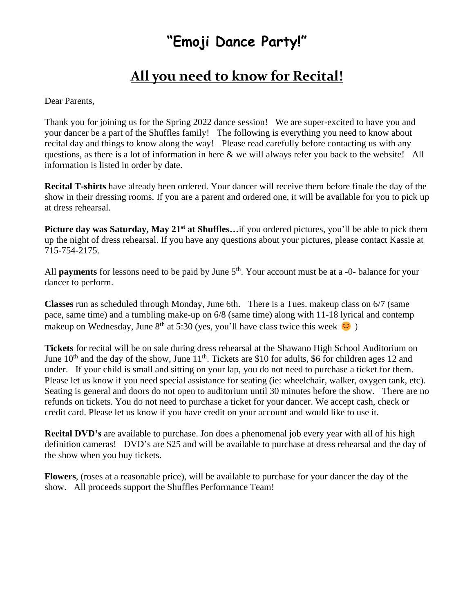## **"Emoji Dance Party!"**

## **All you need to know for Recital!**

Dear Parents,

Thank you for joining us for the Spring 2022 dance session! We are super-excited to have you and your dancer be a part of the Shuffles family! The following is everything you need to know about recital day and things to know along the way! Please read carefully before contacting us with any questions, as there is a lot of information in here & we will always refer you back to the website! All information is listed in order by date.

**Recital T-shirts** have already been ordered. Your dancer will receive them before finale the day of the show in their dressing rooms. If you are a parent and ordered one, it will be available for you to pick up at dress rehearsal.

**Picture day was Saturday, May 21st at Shuffles…**if you ordered pictures, you'll be able to pick them up the night of dress rehearsal. If you have any questions about your pictures, please contact Kassie at 715-754-2175.

All **payments** for lessons need to be paid by June 5<sup>th</sup>. Your account must be at a -0- balance for your dancer to perform.

**Classes** run as scheduled through Monday, June 6th. There is a Tues. makeup class on 6/7 (same pace, same time) and a tumbling make-up on 6/8 (same time) along with 11-18 lyrical and contemp makeup on Wednesday, June  $8<sup>th</sup>$  at 5:30 (yes, you'll have class twice this week  $\bigcirc$ )

**Tickets** for recital will be on sale during dress rehearsal at the Shawano High School Auditorium on June  $10<sup>th</sup>$  and the day of the show, June  $11<sup>th</sup>$ . Tickets are \$10 for adults, \$6 for children ages 12 and under. If your child is small and sitting on your lap, you do not need to purchase a ticket for them. Please let us know if you need special assistance for seating (ie: wheelchair, walker, oxygen tank, etc). Seating is general and doors do not open to auditorium until 30 minutes before the show. There are no refunds on tickets. You do not need to purchase a ticket for your dancer. We accept cash, check or credit card. Please let us know if you have credit on your account and would like to use it.

**Recital DVD's** are available to purchase. Jon does a phenomenal job every year with all of his high definition cameras! DVD's are \$25 and will be available to purchase at dress rehearsal and the day of the show when you buy tickets.

**Flowers**, (roses at a reasonable price), will be available to purchase for your dancer the day of the show. All proceeds support the Shuffles Performance Team!